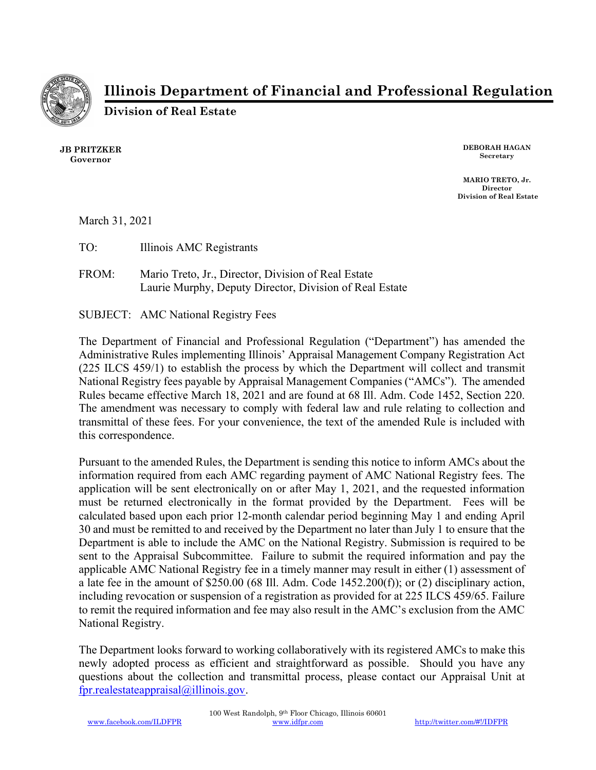

Illinois Department of Financial and Professional Regulation

Division of Real Estate

JB PRITZKER Governor

DEBORAH HAGAN Secretary

MARIO TRETO, Jr. Director Division of Real Estate

March 31, 2021

TO: Illinois AMC Registrants

FROM: Mario Treto, Jr., Director, Division of Real Estate Laurie Murphy, Deputy Director, Division of Real Estate

SUBJECT: AMC National Registry Fees

The Department of Financial and Professional Regulation ("Department") has amended the Administrative Rules implementing Illinois' Appraisal Management Company Registration Act (225 ILCS 459/1) to establish the process by which the Department will collect and transmit National Registry fees payable by Appraisal Management Companies ("AMCs"). The amended Rules became effective March 18, 2021 and are found at 68 Ill. Adm. Code 1452, Section 220. The amendment was necessary to comply with federal law and rule relating to collection and transmittal of these fees. For your convenience, the text of the amended Rule is included with this correspondence.

Pursuant to the amended Rules, the Department is sending this notice to inform AMCs about the information required from each AMC regarding payment of AMC National Registry fees. The application will be sent electronically on or after May 1, 2021, and the requested information must be returned electronically in the format provided by the Department. Fees will be calculated based upon each prior 12-month calendar period beginning May 1 and ending April 30 and must be remitted to and received by the Department no later than July 1 to ensure that the Department is able to include the AMC on the National Registry. Submission is required to be sent to the Appraisal Subcommittee. Failure to submit the required information and pay the applicable AMC National Registry fee in a timely manner may result in either (1) assessment of a late fee in the amount of \$250.00 (68 Ill. Adm. Code 1452.200(f)); or (2) disciplinary action, including revocation or suspension of a registration as provided for at 225 ILCS 459/65. Failure to remit the required information and fee may also result in the AMC's exclusion from the AMC National Registry.

The Department looks forward to working collaboratively with its registered AMCs to make this newly adopted process as efficient and straightforward as possible. Should you have any questions about the collection and transmittal process, please contact our Appraisal Unit at fpr.realestateappraisal@illinois.gov.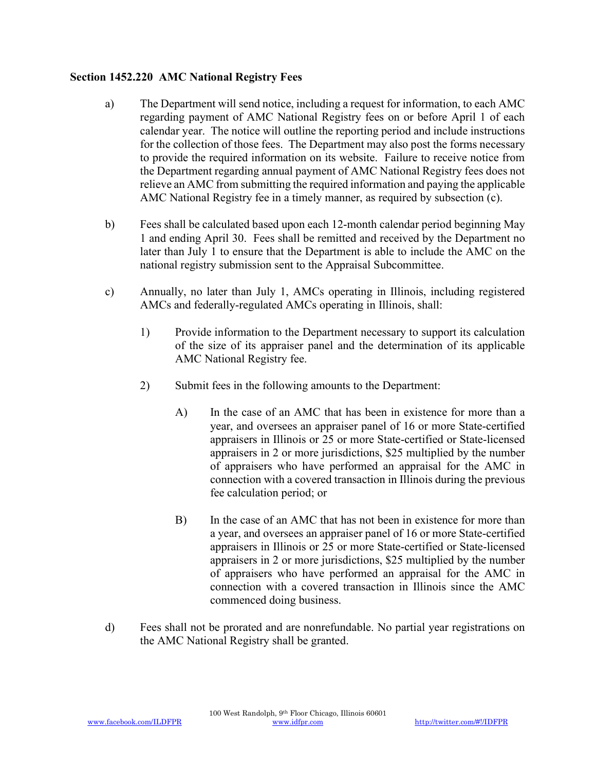## Section 1452.220 AMC National Registry Fees

- a) The Department will send notice, including a request for information, to each AMC regarding payment of AMC National Registry fees on or before April 1 of each calendar year. The notice will outline the reporting period and include instructions for the collection of those fees. The Department may also post the forms necessary to provide the required information on its website. Failure to receive notice from the Department regarding annual payment of AMC National Registry fees does not relieve an AMC from submitting the required information and paying the applicable AMC National Registry fee in a timely manner, as required by subsection (c).
- b) Fees shall be calculated based upon each 12-month calendar period beginning May 1 and ending April 30. Fees shall be remitted and received by the Department no later than July 1 to ensure that the Department is able to include the AMC on the national registry submission sent to the Appraisal Subcommittee.
- c) Annually, no later than July 1, AMCs operating in Illinois, including registered AMCs and federally-regulated AMCs operating in Illinois, shall:
	- 1) Provide information to the Department necessary to support its calculation of the size of its appraiser panel and the determination of its applicable AMC National Registry fee.
	- 2) Submit fees in the following amounts to the Department:
		- A) In the case of an AMC that has been in existence for more than a year, and oversees an appraiser panel of 16 or more State-certified appraisers in Illinois or 25 or more State-certified or State-licensed appraisers in 2 or more jurisdictions, \$25 multiplied by the number of appraisers who have performed an appraisal for the AMC in connection with a covered transaction in Illinois during the previous fee calculation period; or
		- B) In the case of an AMC that has not been in existence for more than a year, and oversees an appraiser panel of 16 or more State-certified appraisers in Illinois or 25 or more State-certified or State-licensed appraisers in 2 or more jurisdictions, \$25 multiplied by the number of appraisers who have performed an appraisal for the AMC in connection with a covered transaction in Illinois since the AMC commenced doing business.
- d) Fees shall not be prorated and are nonrefundable. No partial year registrations on the AMC National Registry shall be granted.